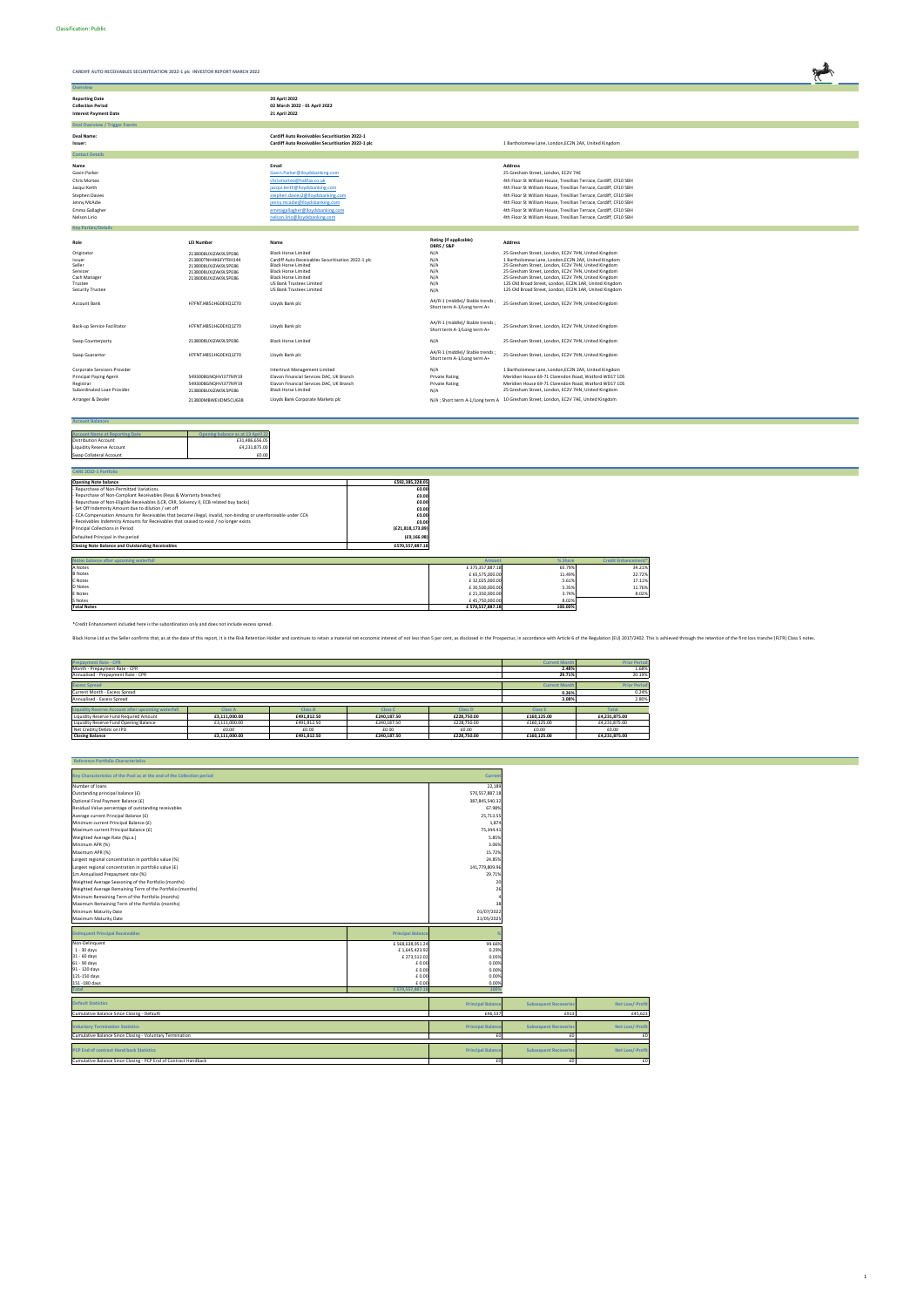| CARDIFF AUTO RECEIVABLES SECURITISATION 2022-1 plc INVESTOR REPORT MARCH 2022                                                   |                              |                                                                                                                                                                                                                                                    |                        |                                                                                                                                                                                                                                                                                                                                                                                                                                                                                     |  |
|---------------------------------------------------------------------------------------------------------------------------------|------------------------------|----------------------------------------------------------------------------------------------------------------------------------------------------------------------------------------------------------------------------------------------------|------------------------|-------------------------------------------------------------------------------------------------------------------------------------------------------------------------------------------------------------------------------------------------------------------------------------------------------------------------------------------------------------------------------------------------------------------------------------------------------------------------------------|--|
| <b>Overview</b>                                                                                                                 |                              |                                                                                                                                                                                                                                                    |                        |                                                                                                                                                                                                                                                                                                                                                                                                                                                                                     |  |
| <b>Reporting Date</b><br><b>Collection Period</b><br><b>Interest Payment Date</b>                                               |                              | <b>20 April 2022</b><br>02 March 2022 - 01 April 2022<br>21 April 2022                                                                                                                                                                             |                        |                                                                                                                                                                                                                                                                                                                                                                                                                                                                                     |  |
| <b>Deal Overview / Trigger Events</b>                                                                                           |                              |                                                                                                                                                                                                                                                    |                        |                                                                                                                                                                                                                                                                                                                                                                                                                                                                                     |  |
| Deal Name:<br>Issuer:                                                                                                           |                              | <b>Cardiff Auto Receivables Securitisation 2022-1</b><br>Cardiff Auto Receivables Securitisation 2022-1 plc                                                                                                                                        |                        | 1 Bartholomew Lane, London, EC2N 2AX, United Kingdom                                                                                                                                                                                                                                                                                                                                                                                                                                |  |
| <b>Contact Details</b>                                                                                                          |                              |                                                                                                                                                                                                                                                    |                        |                                                                                                                                                                                                                                                                                                                                                                                                                                                                                     |  |
| Name<br>Gavin Parker<br>Chris Morteo<br>Jacqui Keith<br><b>Stephen Davies</b><br>Jenny McAdie<br>Emma Gallagher<br>Nelson Lirio |                              | Email<br>Gavin.Parker@lloydsbanking.com<br>chrismorteo@halifax.co.uk<br>jacqui.keith@lloydsbanking.com<br>stephen.davies2@lloydsbanking.com<br>jenny.mcadie@lloydsbanking.com<br>emmagallagher@lloydsbanking.com<br>nelson.lirio@lloydsbanking.com |                        | <b>Address</b><br>25 Gresham Street, London, EC2V 7AE<br>4th Floor St William House, Tresillian Terrace, Cardiff, CF10 5BH<br>4th Floor St William House, Tresillian Terrace, Cardiff, CF10 5BH<br>4th Floor St William House, Tresillian Terrace, Cardiff, CF10 5BH<br>4th Floor St William House, Tresillian Terrace, Cardiff, CF10 5BH<br>4th Floor St William House, Tresillian Terrace, Cardiff, CF10 5BH<br>4th Floor St William House, Tresillian Terrace, Cardiff, CF10 5BH |  |
| <b>Key Parties/Details</b>                                                                                                      |                              |                                                                                                                                                                                                                                                    |                        |                                                                                                                                                                                                                                                                                                                                                                                                                                                                                     |  |
| Dollar in                                                                                                                       | <b>A FAIR MANAGER AND IN</b> | $\mathbf{A}$ is a set of $\mathbf{A}$                                                                                                                                                                                                              | Rating (if applicable) | Address.                                                                                                                                                                                                                                                                                                                                                                                                                                                                            |  |

| Role                          | <b>LEI Number</b>    | Name                                               | Kating (if applicable)<br>DBRS / S&P                           | <b>Address</b>                                                                       |
|-------------------------------|----------------------|----------------------------------------------------|----------------------------------------------------------------|--------------------------------------------------------------------------------------|
| Originator                    | 2138008UXIZAK9L5PE86 | <b>Black Horse Limited</b>                         | N/A                                                            | 25 Gresham Street, London, EC2V 7HN, United Kingdom                                  |
| Issuer                        | 213800TNH4K6FYTRH144 | Cardiff Auto Receivables Securitisation 2022-1 plc | N/A                                                            | 1 Bartholomew Lane, London, EC2N 2AX, United Kingdom                                 |
| Seller                        | 2138008UXJZAK9L5PE86 | <b>Black Horse Limited</b>                         | N/A                                                            | 25 Gresham Street, London, EC2V 7HN, United Kingdom                                  |
| Servicer                      | 2138008UXIZAK9L5PE86 | <b>Black Horse Limited</b>                         | N/A                                                            | 25 Gresham Street, London, EC2V 7HN, United Kingdom                                  |
| Cash Manager                  | 2138008UXJZAK9L5PE86 | <b>Black Horse Limited</b>                         | N/A                                                            | 25 Gresham Street, London, EC2V 7HN, United Kingdom                                  |
| Trustee                       |                      | <b>US Bank Trustees Limited</b>                    | N/A                                                            | 125 Old Broad Street, London, EC2N 1AR, United Kingdom                               |
| <b>Security Trustee</b>       |                      | <b>US Bank Trustees Limited</b>                    | N/A                                                            | 125 Old Broad Street, London, EC2N 1AR, United Kingdom                               |
| Account Bank                  | H7FNTJ4851HG0EXQ1Z70 | Lloyds Bank plc                                    | AA/R-1 (middle)/ Stable trends;<br>Short term A-1/Long term A+ | 25 Gresham Street, London, EC2V 7HN, United Kingdom                                  |
| Back-up Service Facilitator   | H7FNTJ4851HG0EXQ1Z70 | Lloyds Bank plc                                    | AA/R-1 (middle)/ Stable trends;<br>Short term A-1/Long term A+ | 25 Gresham Street, London, EC2V 7HN, United Kingdom                                  |
| Swap Counterparty             | 2138008UXJZAK9L5PE86 | <b>Black Horse Limited</b>                         | N/A                                                            | 25 Gresham Street, London, EC2V 7HN, United Kingdom                                  |
| Swap Guarantor                | H7FNTJ4851HG0EXQ1Z70 | Lloyds Bank plc                                    | AA/R-1 (middle)/ Stable trends;<br>Short term A-1/Long term A+ | 25 Gresham Street, London, EC2V 7HN, United Kingdom                                  |
| Corporate Servicers Provider  |                      | Intertrust Management Limited                      | N/A                                                            | 1 Bartholomew Lane, London, EC2N 2AX, United Kingdom                                 |
| <b>Principal Paying Agent</b> | 5493008GNQHVI377MY19 | Elavon Financial Services DAC, UK Branch           | <b>Private Rating</b>                                          | Meridien House 69-71 Clarendon Road, Watford WD17 1DS                                |
| Registrar                     | 5493008GNQHVI377MY19 | Elavon Financial Services DAC, UK Branch           | <b>Private Rating</b>                                          | Meridien House 69-71 Clarendon Road, Watford WD17 1DS                                |
| Subordinated Loan Provider    | 2138008UXJZAK9L5PE86 | <b>Black Horse Limited</b>                         | N/A                                                            | 25 Gresham Street, London, EC2V 7HN, United Kingdom                                  |
|                               |                      |                                                    |                                                                |                                                                                      |
| Arranger & Dealer             | 213800MBWEIJDM5CU638 | Lloyds Bank Corporate Markets plc                  |                                                                | N/A ; Short term A-1/Long term A 10 Gresham Street, London, EC2V 7AE, United Kingdom |
|                               |                      |                                                    |                                                                |                                                                                      |

Black Horse Ltd as the Seller confirms that, as at the date of this report, it is the Risk Retention Holder and continues to retain a material net economic interest of not less than 5 per cent, as disclosed in the Prospect

| <b>Account Balances</b>               |                                   |
|---------------------------------------|-----------------------------------|
|                                       |                                   |
| <b>Account Name at Reporting Date</b> | Opening balance as at 13 April 22 |
| <b>Distribution Account</b>           | £31,486,656.05                    |
| <b>Liquidity Reserve Account</b>      | £4,231,875.00                     |
| Swap Collateral Account               | £0.00                             |

| <b>CARS 2022-1 Portfolio</b>                                                                                    |                    |                 |         |                            |
|-----------------------------------------------------------------------------------------------------------------|--------------------|-----------------|---------|----------------------------|
| <b>Opening Note balance</b>                                                                                     | £592,385,228.05    |                 |         |                            |
| - Repurchase of Non-Permitted Variations                                                                        | £0.00              |                 |         |                            |
| - Repurchase of Non-Compliant Receivables (Reps & Warranty breaches)                                            | £0.00              |                 |         |                            |
| - Repurchase of Non-Eligible Receivables (LCR, CRR, Solvency II, ECB related buy backs)                         | £0.00              |                 |         |                            |
| - Set Off Indemnity Amount due to dilution / set off                                                            | £0.00              |                 |         |                            |
| - CCA Compensation Amounts for Receivables that become illegal, invalid, non-binding or unenforceable under CCA | £0.00              |                 |         |                            |
| - Receivables Indemnity Amounts for Receivables that ceased to exist / no longer exists                         | £0.00              |                 |         |                            |
| Principal Collections in Period                                                                                 | (E21, 818, 173.89) |                 |         |                            |
| Defaulted Principal in the period                                                                               | (E9, 166.98)       |                 |         |                            |
| <b>Closing Note Balance and Outstanding Receivables</b>                                                         | £570,557,887.18    |                 |         |                            |
|                                                                                                                 |                    |                 |         |                            |
| Notes balance after upcoming waterfall                                                                          |                    | <b>Amount</b>   | % Share | <b>Credit Enhancement*</b> |
| A Notes                                                                                                         |                    | £375,357,887.18 | 65.79%  | 34.21%                     |
| <b>B</b> Notes                                                                                                  |                    | £ 65,575,000.00 | 11.49%  | 22.72%                     |
| C Notes                                                                                                         |                    | £32,025,000.00  | 5.61%   | 17.11%                     |
| D Notes                                                                                                         |                    | £30,500,000.00  | 5.35%   | 11.76%                     |
| E Notes                                                                                                         |                    | £21,350,000.00  | 3.74%   | 8.02%                      |
| S Notes                                                                                                         |                    | £45,750,000.00  | 8.02%   |                            |

**Total Notes £ 570,557,887.18 100.00%**

| <b>Prepayment Rate - CPR</b>                              |                |                |                |                | <b>Current Montl</b> | <b>Prior Period</b> |
|-----------------------------------------------------------|----------------|----------------|----------------|----------------|----------------------|---------------------|
| Month - Prepayment Rate - CPR                             |                |                |                |                | 2.48%                | 1.68%               |
| Annualised - Prepayment Rate - CPR                        |                |                |                |                | 29.71%               | 20.19%              |
| <b>Excess Spread</b>                                      |                |                |                |                |                      | <b>Prior Period</b> |
| Current Month - Excess Spread                             |                |                |                |                |                      | 0.249               |
| Annualised - Excess Spread                                |                |                |                |                | 3.08%                | 2.80%               |
| <b>Liquidity Reserve Account after upcoming waterfall</b> | <b>Class A</b> | <b>Class B</b> | <b>Class C</b> | <b>Class D</b> | <b>Class E</b>       | <b>Total</b>        |
| Liquidity Reserve Fund Required Amount                    | £3.111.000.00  | £491.812.50    | £240,187.50    | £228,750.00    | £160,125.00          | £4.231.875.00       |
| Liquidity Reserve Fund Opening Balance                    | £3,111,000.00  | £491.812.50    | £240,187.50    | £228,750.00    | £160,125.00          | £4,231,875.00       |
| Net Credits/Debits on IPD                                 | £0.00          | £0.00          | £0.00          | £0.00          | £0.00                | £0.00               |
| <b>Closing Balance</b>                                    | £3.111.000.00  | £491,812.50    | £240,187.50    | £228,750.00    | £160,125.00          | £4,231,875.00       |

| <b>Reference Portfolio Characteristics</b>                             |                          |                |
|------------------------------------------------------------------------|--------------------------|----------------|
| Key Characteristics of the Pool as at the end of the Collection period |                          | <b>Current</b> |
| Number of loans                                                        |                          | 22.189         |
| Outstanding principal balance (£)                                      |                          | 570,557,887.18 |
| Optional Final Payment Balance (£)                                     |                          | 387,845,540.32 |
| Residual Value percentage of outstanding receivables                   |                          | 67.98%         |
| Average current Principal Balance (£)                                  |                          | 25,713.55      |
| Minimum current Principal Balance (£)                                  |                          | 1,874          |
| Maximum current Principal Balance (£)                                  |                          | 75,344.41      |
| Weighted Average Rate (%p.a.)                                          |                          | 5.85%          |
| Minimum APR (%)                                                        |                          | 3.06%          |
| Maximum APR (%)                                                        |                          | 15.72%         |
| Largest regional concentration in portfolio value (%)                  |                          | 24.85%         |
| Largest regional concentration in portfolio value (£)                  |                          | 141,779,809.96 |
| 1m Annualised Prepayment rate (%)                                      |                          | 29.71%         |
| Weighted Average Seasoning of the Portfolio (months)                   |                          | 20             |
| Weighted Average Remaining Term of the Portfolio (months)              |                          | 26             |
| Minimum Remaining Term of the Portfolio (months)                       |                          |                |
| Maximum Remaining Term of the Portfolio (months)                       |                          | 38             |
| Minimum Maturity Date                                                  |                          | 01/07/2022     |
| Maximum Maturity Date                                                  |                          | 21/05/2025     |
|                                                                        |                          |                |
| <b>Delinquent Principal Receivables</b>                                | <b>Principal Balance</b> | %              |
| Non-Delinquent                                                         | £568,638,951.24          | 99.66%         |
| $1 - 30$ days                                                          | £1,645,423.92            | 0.29%          |
| 31 - 60 days                                                           | £273,512.02              | 0.05%          |
| 61 - 90 days                                                           | £0.00                    | 0.00%          |
| 91 - 120 days                                                          | £0.00                    | 0.00%          |
| 121-150 days                                                           | £0.00                    | 0.00%          |
| 151 - 180 days                                                         | £0.00                    | 0.00%          |

| <b>Total</b>                                                    | £570.557.887.18 | 100%                     |                              |                         |
|-----------------------------------------------------------------|-----------------|--------------------------|------------------------------|-------------------------|
| <b>Default Statistics</b>                                       |                 | <b>Principal Balance</b> | <b>Subsequent Recoveries</b> | <b>Net Loss/-Profit</b> |
| Cumulative Balance Since Closing - Defaullt                     |                 | £46,537                  | £913                         | £45,623                 |
| <b>Voluntary Termination Statistics</b>                         |                 | <b>Principal Balance</b> | <b>Subsequent Recoveries</b> | <b>Net Loss/-Profit</b> |
| Cumulative Balance Since Closing - Voluntary Termination        |                 |                          |                              |                         |
|                                                                 |                 |                          |                              |                         |
| <b>PCP End of contract Hand back Statistics</b>                 |                 | <b>Principal Balance</b> | <b>Subsequent Recoveries</b> | <b>Net Loss/-Profit</b> |
| Cumulative Balance Since Closing - PCP End of Contract Handback |                 |                          |                              | £0                      |

\*Credit Enhancement included here is the subordination only and does not include excess spread.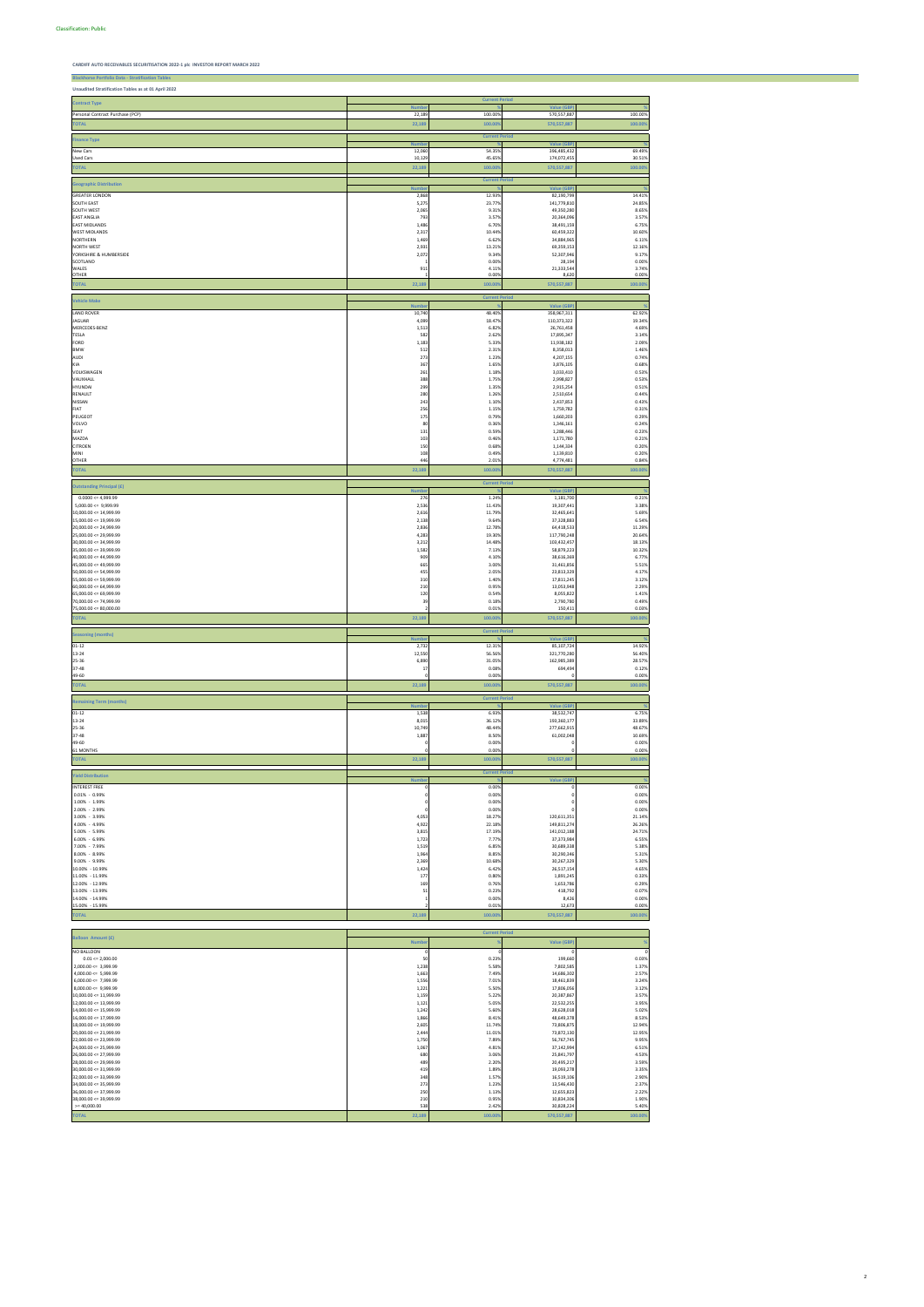**Blackhorse Portfolio Data - Stratification** 

**CARDIFF AUTO RECEIVABLES SECURITISATION 2022-1 plc INVESTOR REPORT MARCH 2022**

**Unaudited Stratification Tables as at 01 April 2022 Number % Value (GBP) %** Personal Contract Purchase (PCP) 22,189 100.00% 570,557,887 100.00% **TOTAL 22,189 100.00% 570,557,887 100.00%** 12,06<sup>1</sup>  $\frac{64.35\%}{396,485,435}$ <br>45.65%<br>174,072,45 %<br>69.49%<br>30.51% New Cars 12,060 54.35% 396,485,432 69.49% Used Cars 174,072,455 174,072,455 30.51% 1990 1991 174,072,455 174,072,455 174,072,455 174,072,455 174,072,455 **TOTAL 22,189 100.00% 570,557,887 100.00% Number**<br>
2,868<br>
5,275<br>
2,065<br>
793<br>
1,486<br>
2,317<br>
1,469<br>
2,931<br>
2,072<br>
1<br>
911 **12.93%**<br> **Walte (GBP)**<br> **8.2,190,791**<br> **9.31%**<br> **9.31%**<br> **4.9,350,281**<br> **4.9,350,281**<br> **4.9,350,281**<br> **6.70%**<br> **6.70%**<br> **6.70%**<br> **8.8,491,159**<br> **6.62%**<br> **4.9,350,240<br>
6.70%<br>
<b>8.8,491,159**<br> **8.9,3121%**<br> **8.9,359,323**<br> **9.3**  $\begin{array}{c} 14.41\% \\ 24.85\% \\ 8.65\% \\ 3.57\% \\ 6.75\% \\ 10.60\% \\ 6.11\% \\ 12.16\% \\ 9.17\% \\ 0.00\% \\ 3.74\% \\ 0.00\% \end{array}$ GREATER LONDON 2,868 12.93% 82,190,799 14.41% SOUTH NEST<br>
SOUTH WEST<br>
EAST ANGLIA<br>
MORTHERN MOST SUNDAINS<br>
MORTHERN 1.466<br>
MORTHERN 1.466<br>
MORTHERN 1.466<br>
MORTHERN 1.469<br>
1.469<br>
MORTHERN 1.469<br>
1.469<br>
1.469<br>
1.469<br>
1.469<br>
1.469<br>
2.9072<br>
2.9022<br>
2.9022<br>
2.9022<br>
2.9022 SCOTLAND<br>WALES 1 0.00% 28,194 0.00% WALES 911 4.11% 21,333,544 3.74% OTHER 1 0.00% 8,620 0.00% **TOTAL 22,189 100.00% 570,557,887 100.00% Number % Value (GBP) %** LAND ROVER 10,740 48.40% 358,967,311 62.92% JAGUAR 4,099 18.47% 110,373,322 19.34% MERCEDES-BENZ 1,513 6.82% 26,761,458 4.69% TESLA 582 2.62% 17,895,347 3.14% FORD 1,183 5.33% 11,938,182 2.09% BMW 512 2.31% 8,358,013 3,358,013 3,358,013 3,46% AUDI 273 2.23% 4,207,155 4,207,155 4,207,155 4,207,155 2.23% 4,207,155 2.23% 4,207,155 2.23% 4,207,155 4,207,155 4.207,155 2.74% KIA 367 1.65% 3,876,105 0.68% VOLKSWAGEN 261 1.18% 3,033,410 0.53% VAUXHALL 388 1.75% 2,998,827 0.53% HYUNDAI 299 1.35% 2,915,254 0.51% RENAULT 2.510,654 2.510,654 2.280 2.280 2.280 2.280 2.280 2.2510,654 2.2510,654 2.2510,654 2.2510,654 2.2510,654 2.2510,654 2.2510,654 2.2510,654 2.2510,654 2.2510,654 2.2510,654 2.2510,654 2.2510,654 2.2510,654 2.2510,654 المال 2,437,853 1.10% 2,437,853 2,437,853 2,438 2,437,853 2,439 2,439 2,437,853 2,437,853 2,437,853 2,437,853 المسابق المسابق المسابق المسابق المسابق المسابق المسابق المسابق المسابق المسابق المسابق المسابق المسابق المسابق FIAT 256 1.15% 1,759,782 0.31% PEUGEOT 175 0.79% 1,660,203 0.29% VOLVO 80 0.36% 1,346,161 0.24% SEAT 131 0.59% 1,288,446 0.23% 0.21% 103 0.46% 1,171,780 1,171,780 1,171,780 1,171,780 1,171,780 1,171,780 1,171,780 1,171,780 1,171,780 1,17 CITROEN 150 0.68% 1,144,334 0.20% MINI 108 0.49% 1,139,810 0.20% OTHER 446 2.01% 4,774,481 0.84% **TOTAL 22,189 100.00% 570,557,887 100.00% Number** % Value (GBP)<br>
4.43% 1,9307,441<br>
4.43% 1,9307,441<br>
5.9307,441<br>
5.7.78% 37,368,545<br>
5.7.78% 64,418,533<br>
4.418,533<br>
117,790,248<br>
103,424,533<br>
58,879,222<br>
38,615,616<br>
4.18% 58,879,223<br>
4.616,646  $\begin{array}{r} 0.21\% \\ 3.38\% \\ 5.69\% \\ 6.54\% \\ 11.29\% \\ 20.64\% \\ 18.13\% \\ 6.77\% \\ 5.51\% \\ 4.17\% \\ 2.29\% \\ 1.41\% \\ 0.49\% \\ 0.03\% \end{array}$  $0.0000 \le 4{,}999.99$   $1.24\%$   $1.24\%$   $1.24\%$   $1.24\%$   $1.24\%$   $1.24\%$   $1.24\%$   $1.24\%$   $1.24\%$   $1.24\%$   $1.24\%$   $1.24\%$   $1.24\%$   $1.24\%$   $1.24\%$   $1.24\%$   $1.24\%$   $1.24\%$   $1.24\%$   $1.24\%$   $1.24\%$   $1.24\%$  5,000.00 <= 9,999.99 2,536 11.43% 19,307,441 3.38% 10,000.00 <= 14,999.99 2,616 11.79% 32,465,641 5.69% 15,000.00 <= 19,999.99 2,138 9.64% 37,328,883 6.54% 20,000.00 <= 24,999.99 2,836 12.78% 64,418,533 11.29% 25,000.00 <= 29,999.99 4,283 19.30% 117,790,248 20.64% 30,000.00 <= 34,999.99 3,212 14.48% 103,432,457 18.13% 35,000.00 <= 39,999.99 1,582 7.13% 58,879,223 10.32%  $40,000.00 < \pi$  44,999.99  $38,616,369$   $38,616,369$   $38,616,369$   $38,616,369$   $38,616,369$   $38,616,369$   $38,616,369$   $38,616,369$   $38,616,369$   $38,616,369$   $38,616,369$   $38,616,369$   $38,616,369$   $38,616,369$   $38,616,369$  45,000.00 <= 49,999.99 665 3.00% 31,461,856 5.51% 50,000.00 <= 54,999.99 455 2.05% 23,813,329 4.17% 55,000.00 <= 59,999.99 310 1.40% 17,811,245 3.12% 60,000.00 <= 64,999.99 210 0.95% 13,053,948 2.29% 65,000.00 <= 69,999.99 120 0.54% 8,055,822 1.41% 70,000.00 <= 74,999.99 39 0.18% 2,790,780 0.49%  $65,000.00 \le 69,999.99$ <br>70,000.00 <= 74,999.99<br>75,000.00 <= 80,000.00 2 0.01% 150,411 0.03% **TOTAL 22,189 100.00% 570,557,887 100.00%** 2,732<br>12,550<br>6,890<br>1 **% Value (GBP) %**  $01-12$   $12.31\%$   $85,107,724$   $14.92\%$ 13-24 12,550 56.56% 321,770,280 56.40% 25-36 6,890 31.05% 162,985,389 28.57% 37-48 17 0.08% 694,494 0.12% 49-60 12.31%<br>56.56%<br>31.05%<br>0.08%<br>0.00% 0 0.00% **TOTAL 22,189 100.00% 570,557,887 100.00% Number**<br>1,538<br>8,015<br>10,749<br>1,887 **% Value (GBP)** 6.75%<br>33.89%<br>48.67%<br>10.69%  $01-12$   $0.538$   $0.532,747$   $0.538$   $0.532,747$   $0.538$   $0.532,747$   $0.575$   $0.538$  $13-24$   $36.12\%$   $193,360,177$   $33.89\%$ 25-36 10,749 48.44% 277,662,915 48.67%  $37-48$   $8.50\%$   $61,002,048$   $61,002,048$   $10.69\%$ 49-60 61 MONTHS 0 0.00% 0 0.00% 0 0.00% 0 0.00% **TOTAL 22,189 100.00% 570,557,887 100.00% Number % Value (GBP) %** INTEREST FREE 0 0.00% 0 0.00% 0.01% - 0.99% 0 0.00% 0.00% 1.00% - 1.99% 0 0.00% 0 0.00% 0 0.00% 0 0.00% 2.00% - 1.99%<br>2.00% - 2.99%<br>3.00% - 3.99% 3.00% - 3.99% 4,053 18.27% 120,611,351 21.14% 4.00% - 4.99% 4,922 22.18% 149,811,274 26.26% 5.00% - 5.99% 3,815 17.19% 141,012,188 24.71% 6.00% - 6.99% 1,723 7.77% 37,373,984 6.55% 7.00% - 7.99% 1,519 6.85% 30,689,338 5.38% 8.00% - 8.99% 1,964 8.85% 30,290,346 5.31% 9.00% - 9.99% 2,369 10.68% 30,267,329 5.30%  $10.00\%$  - 10.99% 26,517,154  $26,517,154$  4.65%  $4.65\%$  $11.00\% - 11.99\%$   $1.891,245$   $1.891,245$   $0.33\%$  $12.00\%$  - 12.99% 1,653,786 1,653,786 2.9% 1,653,786 2.9% 1,653,786 2.9% 1,653,786 2.9% 1,653,786 2.9% 1,653,786 2.9% 1,653,786 2.9% 1,653,786 2.9% 1,653,786 2.9% 1,653,786 2.9% 1,653,786 2.9% 1,653,786 2.9% 1,653,786 2.  $13.00\%$  - 13.99%  $418,792$   $418,792$   $0.07\%$  $13.00\% - 13.99\%$ <br> $14.00\% - 14.99\%$ 1 0.00% 8,426 0.00% 15.00% - 15.99% 2 0.01% 0.01% 12,673 0.00% **TOTAL 22,189 100.00% 570,557,887 100.00% Number Ilue (G %**  $0.01 \leq z \leq 2,000.00$  $50$ <br>1,238<br>1,663<br>1,556  $0.23\%$ <br>5.58%<br>7.49%<br>7.01% 199,66 0.03%<br>0.03%<br>1.37%<br>2.57%<br>3.24% 0.01 <= 2,000.00 50 0.23% 199,660 0.03% **Finance Type Current Period Contract Type Current Period Geographic Distribution Current Period Vehicle Make Current Period Outstanding Principal (£) Current Period Seasoning (months) Current Period Remaining Term (months) Current Period Yield Distribution Current Period Balloon Amount (£) Current Period**

 2,000.00 <= 3,999.99 1,238 5.58% 7,802,585 1.37% 4,000.00 <= 5,999.99 14,686,302 14,686,302 14,686,302 14,686,302 14,686,302 14,686,302 14,686,302 14,686,302 2.57% 6,000.00 <= 7,999.99 1,556 7.01% 18,461,839 3.24%

| $8,000.00 \leq 9,999.99$   | 1,221  | 5.50%   | 17,806,056  | 3.12%   |
|----------------------------|--------|---------|-------------|---------|
| $10,000.00 \leq 11,999.99$ | 1,159  | 5.22%   | 20,387,867  | 3.57%   |
| $12,000.00 \leq 13,999.99$ | 1,121  | 5.05%   | 22,532,255  | 3.95%   |
| $14,000.00 \leq 15,999.99$ | 1,242  | 5.60%   | 28,628,018  | 5.02%   |
| $16,000.00 \leq 17,999.99$ | 1,866  | 8.41%   | 48,649,378  | 8.53%   |
| $18,000.00 \leq 19,999.99$ | 2,605  | 11.74%  | 73,806,875  | 12.94%  |
| $20,000.00 \le 21,999.99$  | 2,444  | 11.01%  | 73,872,130  | 12.95%  |
| $22,000.00 \leq 23,999.99$ | 1,750  | 7.89%   | 56,767,745  | 9.95%   |
| $24,000.00 \leq 25,999.99$ | 1,067  | 4.81%   | 37,142,994  | 6.51%   |
| $26,000.00 \le 27,999.99$  | 680    | 3.06%   | 25,841,797  | 4.53%   |
| $28,000.00 \leq 29,999.99$ | 489    | 2.20%   | 20,495,217  | 3.59%   |
| $30,000.00 \leq 31,999.99$ | 419    | 1.89%   | 19,093,278  | 3.35%   |
| $32,000.00 \leq 33,999.99$ | 348    | 1.57%   | 16,519,106  | 2.90%   |
| $34,000.00 \leq 35,999.99$ | 273    | 1.23%   | 13,546,430  | 2.37%   |
| $36,000.00 \leq 37,999.99$ | 250    | 1.13%   | 12,655,823  | 2.22%   |
| $38,000.00 \leq 39,999.99$ | 210    | 0.95%   | 10,834,306  | 1.90%   |
| $>= 40,000.00$             | 538    | 2.42%   | 30,828,224  | 5.40%   |
| <b>TOTAL</b>               | 22,189 | 100.00% | 570,557,887 | 100.00% |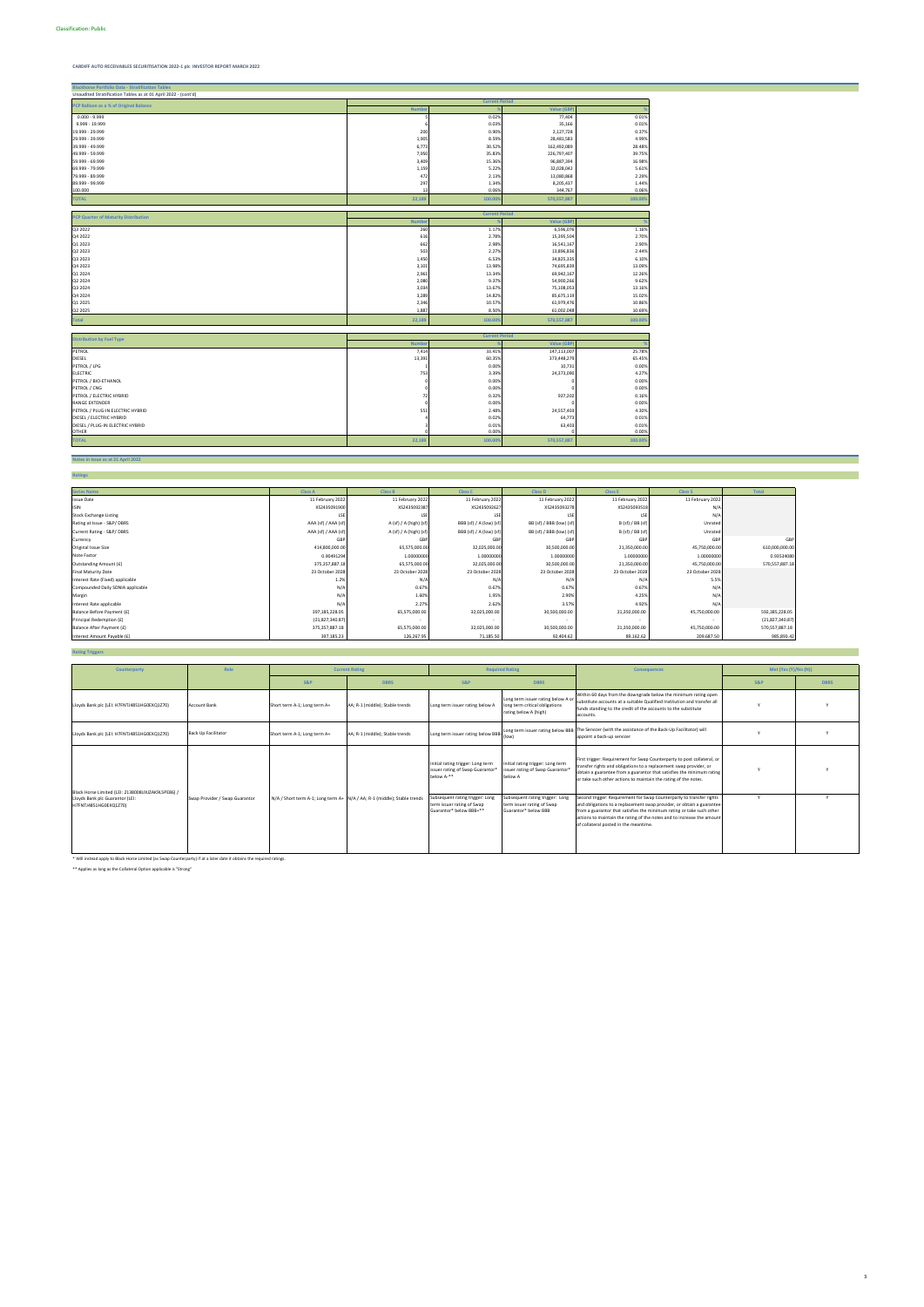**Blackhorse Portfolio Data - Stratification Tables**

| <b>Blackhorse Portfolio Data - Stratification Tables</b>       |               |                       |                   |         |
|----------------------------------------------------------------|---------------|-----------------------|-------------------|---------|
| Unaudited Stratification Tables as at 01 April 2022 - (cont'd) |               |                       |                   |         |
| PCP Balloon as a % of Original Balance                         |               | <b>Current Period</b> |                   |         |
|                                                                | <b>Numb</b>   |                       | <b>Value (GB</b>  |         |
| $0.000 - 9.999$                                                |               | 0.02%                 | 77,404            | 0.01%   |
| 9.999 - 19.999                                                 |               | 0.03%                 | 35,166            | 0.01%   |
| 19.999 - 29.999                                                | 200           | 0.90%                 | 2,127,728         | 0.37%   |
| 29.999 - 39.999                                                | 1,905         | 8.59%                 | 28,481,583        | 4.99%   |
| 39.999 - 49.999                                                | 6,773         | 30.52%                | 162,492,089       | 28.48%  |
| 49.999 - 59.999                                                | 7,950         | 35.83%                | 226,797,407       | 39.75%  |
| 59.999 - 69.999                                                | 3,409         | 15.36%                | 96,887,394        | 16.98%  |
| 69.999 - 79.999                                                | 1,159         | 5.22%                 | 32,028,042        | 5.61%   |
| 79.999 - 89.999                                                | 472           | 2.13%                 | 13,080,868        | 2.29%   |
| 89.999 - 99.999                                                | 297           | 1.34%                 | 8,205,437         | 1.44%   |
| 100.000                                                        | 13            | 0.06%                 | 344,767           | 0.06%   |
| <b>TOTAL</b>                                                   | 22,189        | 100.00%               | 570,557,887       | 100.009 |
|                                                                |               | <b>Current Period</b> |                   |         |
| <b>PCP Quarter of Maturity Distribution</b>                    | <b>Number</b> |                       | <b>Value (GBF</b> |         |
| Q3 2022                                                        | 260           | 1.17%                 | 6,596,07          | 1.16%   |
| Q4 2022                                                        | 616           | 2.78%                 | 15,395,504        | 2.70%   |
| Q1 2023                                                        | 662           | 2.98%                 | 16,541,167        | 2.90%   |
| Q2 2023                                                        | 503           | 2.27%                 | 13,896,836        | 2.44%   |
| Q3 2023                                                        | 1,450         | 6.53%                 | 34,825,335        | 6.10%   |
| Q4 2023                                                        | 3,101         | 13.98%                | 74,695,839        | 13.09%  |
| Q1 2024                                                        | 2,961         | 13.34%                | 69,942,167        | 12.26%  |
| Q2 2024                                                        | 2,080         | 9.37%                 | 54,900,266        | 9.62%   |
| Q3 2024                                                        | 3,034         | 13.67%                | 75,108,053        | 13.16%  |
| Q4 2024                                                        | 3,289         | 14.82%                | 85,675,119        | 15.02%  |
| Q1 2025                                                        | 2,346         | 10.57%                | 61,979,476        | 10.86%  |
| Q2 2025                                                        | 1,887         | 8.50%                 | 61,002,048        | 10.69%  |
| <b>Total</b>                                                   | 22,189        | 100.00%               | 570,557,887       | 100.009 |
|                                                                |               | <b>Current Period</b> |                   |         |
| <b>Distribution by Fuel Type</b>                               | <b>Numb</b>   |                       | <b>Value (GBF</b> |         |
| PETROL                                                         | 7,414         | 33.41%                | 147,113,007       | 25.78%  |
| DIESEL                                                         | 13,391        | 60.35%                | 373,448,279       | 65.45%  |
| PETROL / LPG                                                   |               | 0.00%                 | 10,731            | 0.00%   |
| <b>ELECTRIC</b>                                                | 753           | 3.39%                 | 24,373,090        | 4.27%   |
| PETROL / BIO-ETHANOL                                           | $\Omega$      | 0.00%                 |                   | 0.00%   |
| PETROL / CNG                                                   | $\Omega$      | 0.00%                 |                   | 0.00%   |
| PETROL / ELECTRIC HYBRID                                       | 72            | 0.32%                 | 927,202           | 0.16%   |
| RANGE EXTENDER                                                 | $\Omega$      | 0.00%                 |                   | 0.00%   |
| PETROL / PLUG-IN ELECTRIC HYBRID                               | 551           | 2.48%                 | 24,557,403        | 4.30%   |
| DIESEL / ELECTRIC HYBRID                                       |               | 0.02%                 | 64,773            | 0.01%   |
| DIESEL / PLUG-IN ELECTRIC HYBRID                               | -3            | 0.01%                 | 63,403            | 0.01%   |
| OTHER                                                          |               | 0.00%                 |                   | 0.00%   |
| <b>TOTAL</b>                                                   | 22,189        | 100.00%               | 570,557,887       | 100.00% |

**Notes in Issue as at 21 April 2022**

| <b>Ratings</b>                    |                     |                        |                         |                          |                  |                  |                   |
|-----------------------------------|---------------------|------------------------|-------------------------|--------------------------|------------------|------------------|-------------------|
|                                   |                     |                        |                         |                          |                  |                  |                   |
| <b>Series Name</b>                | <b>Class A</b>      | <b>Class B</b>         | <b>Class C</b>          | <b>Class D</b>           | <b>Class E</b>   | <b>Class S</b>   | <b>Total</b>      |
| <b>Issue Date</b>                 | 11 February 2022    | 11 February 2022       | 11 February 2022        | 11 February 2022         | 11 February 2022 | 11 February 2022 |                   |
| <b>ISIN</b>                       | XS2435091900        | XS2435092387           | XS2435092627            | XS2435093278             | XS2435093518     | N/               |                   |
| <b>Stock Exchange Listing</b>     | LSE                 | ١S                     | LS                      | LSE                      | <b>ISF</b>       | N/l              |                   |
| Rating at Issue - S&P/DBRS        | AAA (sf) / AAA (sf) | A (sf) / A (high) (sf) | BBB (sf) / A (low) (sf) | BB (sf) / BBB (low) (sf) | B (sf) / BB (sf) | Unrated          |                   |
| Current Rating - S&P/DBRS         | AAA (sf) / AAA (sf) | A (sf) / A (high) (sf) | BBB (sf) / A (low) (sf) | BB (sf) / BBB (low) (sf) | B (sf) / BB (sf) | Unrated          |                   |
| Currency                          | GBP                 | GBF                    | GBP                     | GBF                      | GB               | <b>GB</b>        | GBP               |
| Original Issue Size               | 414,800,000.00      | 65,575,000.00          | 32,025,000.00           | 30,500,000.00            | 21,350,000.00    | 45,750,000.00    | 610,000,000.00    |
| Note Factor                       | 0.90491294          | 1.00000000             | 1.00000000              | 1.00000000               | 1.00000000       | 1.0000000        | 0.93534080        |
| Outstanding Amount (£)            | 375,357,887.18      | 65,575,000.00          | 32,025,000.00           | 30,500,000.00            | 21,350,000.00    | 45,750,000.00    | 570,557,887.18    |
| <b>Final Maturity Date</b>        | 23 October 2028     | 23 October 2028        | 23 October 2028         | 23 October 2028          | 23 October 2028  | 23 October 2028  |                   |
| Interest Rate (Fixed) applicable  | 1.2%                | N/t                    | N/A                     | $N/\rho$                 | N/f              | 5.5%             |                   |
| Compounded Daily SONIA applicable | N/A                 | 0.67%                  | 0.67%                   | 0.67%                    | 0.67%            | N/A              |                   |
| Margin                            | N/A                 | 1.60%                  | 1.95%                   | 2.90%                    | 4.25%            | N/A              |                   |
| Interest Rate applicable          | N/A                 | 2.27%                  | 2.62%                   | 3.57%                    | 4.92%            | N/A              |                   |
| Balance Before Payment (£)        | 397,185,228.05      | 65,575,000.00          | 32,025,000.00           | 30,500,000.00            | 21,350,000.00    | 45,750,000.00    | 592,385,228.05    |
| Principal Redemption (£)          | (21,827,340.87)     |                        |                         |                          |                  |                  | (21, 827, 340.87) |
| Balance After Payment (£)         | 375, 357, 887. 18   | 65,575,000.00          | 32,025,000.00           | 30,500,000.00            | 21,350,000.00    | 45,750,000.00    | 570, 557, 887. 18 |
| Interest Amount Payable (£)       | 397,185.23          | 126,267.95             | 71,185.50               | 92,404.62                | 89,162.62        | 209,687.50       | 985,893.42        |

**Rating Triggers**

\* Will instead apply to Black Horse Limited (as Swap Counterparty) if at a later date it obtains the required ratings.

\*\* Applies as long as the Collateral Option applicable is "Strong"

| Counterparty                                                                                                  | Role                           |                                                                          | <b>Current Rating</b>           | <b>Required Rating</b>                                                                   |                                                                                               | <b>Consequences</b>                                                                                                                                                                                                                                                                                                                       | Met (Yes (Y)/No (N)) |             |
|---------------------------------------------------------------------------------------------------------------|--------------------------------|--------------------------------------------------------------------------|---------------------------------|------------------------------------------------------------------------------------------|-----------------------------------------------------------------------------------------------|-------------------------------------------------------------------------------------------------------------------------------------------------------------------------------------------------------------------------------------------------------------------------------------------------------------------------------------------|----------------------|-------------|
|                                                                                                               |                                | S&P                                                                      | <b>DBRS</b>                     | <b>S&amp;P</b>                                                                           | <b>DBRS</b>                                                                                   |                                                                                                                                                                                                                                                                                                                                           | <b>S&amp;P</b>       | <b>DBRS</b> |
| Lloyds Bank plc (LEI: H7FNTJ4851HG0EXQ1Z70)                                                                   | <b>Account Bank</b>            | Short term A-1; Long term A+                                             | AA: R-1 (middle): Stable trends | Long term issuer rating below /                                                          | Long term issuer rating below A or<br>long term critical obligations<br>rating below A (high) | Within 60 days from the downgrade below the minimum rating open<br>substitute accounts at a suitable Qualified Institution and transfer all<br>funds standing to the credit of the accounts to the substitute<br>accounts.                                                                                                                |                      |             |
| Lloyds Bank plc (LEI: H7FNTJ4851HG0EXQ1Z70)                                                                   | <b>Back Up Facilitator</b>     | Short term A-1; Long term A+                                             | AA; R-1 (middle); Stable trends |                                                                                          | (low)                                                                                         | Long term issuer rating below BBB   long term issuer rating below BBB   The Servicer (with the assistance of the Back-Up Facilitator) will<br>appoint a back-up servicer                                                                                                                                                                  |                      |             |
| Black Horse Limited (LEI: 2138008UXJZAK9L5PE86) /<br>Lloyds Bank plc Guarantor (LEI:<br>H7FNTJ4851HG0EXQ1Z70) | Swap Provider / Swap Guarantor | N/A / Short term A-1; Long term A+ N/A / AA; R-1 (middle); Stable trends |                                 | Initial rating trigger: Long term<br>issuer rating of Swap Guarantor<br>below A-**       | Initial rating trigger: Long term<br>issuer rating of Swap Guarantor*<br>below A              | First trigger: Requirement for Swap Counterparty to post collateral, or<br>transfer rights and obligations to a replacement swap provider, or<br>obtain a guarantee from a guarantor that satisfies the minimum rating<br>or take such other actions to maintain the rating of the notes.                                                 |                      |             |
|                                                                                                               |                                |                                                                          |                                 | Subsequent rating trigger: Long<br>term issuer rating of Swap<br>Guarantor* below BBB+** | Subsequent rating trigger: Long<br>term issuer rating of Swap<br>Guarantor* below BBB         | Second trigger: Requirement for Swap Counterparty to transfer rights<br>and obligations to a replacement swap provider, or obtain a guarantee<br>from a guarantor that satisfies the minimum rating or take such other<br>actions to maintain the rating of the notes and to increase the amount<br>of collateral posted in the meantime. |                      |             |

3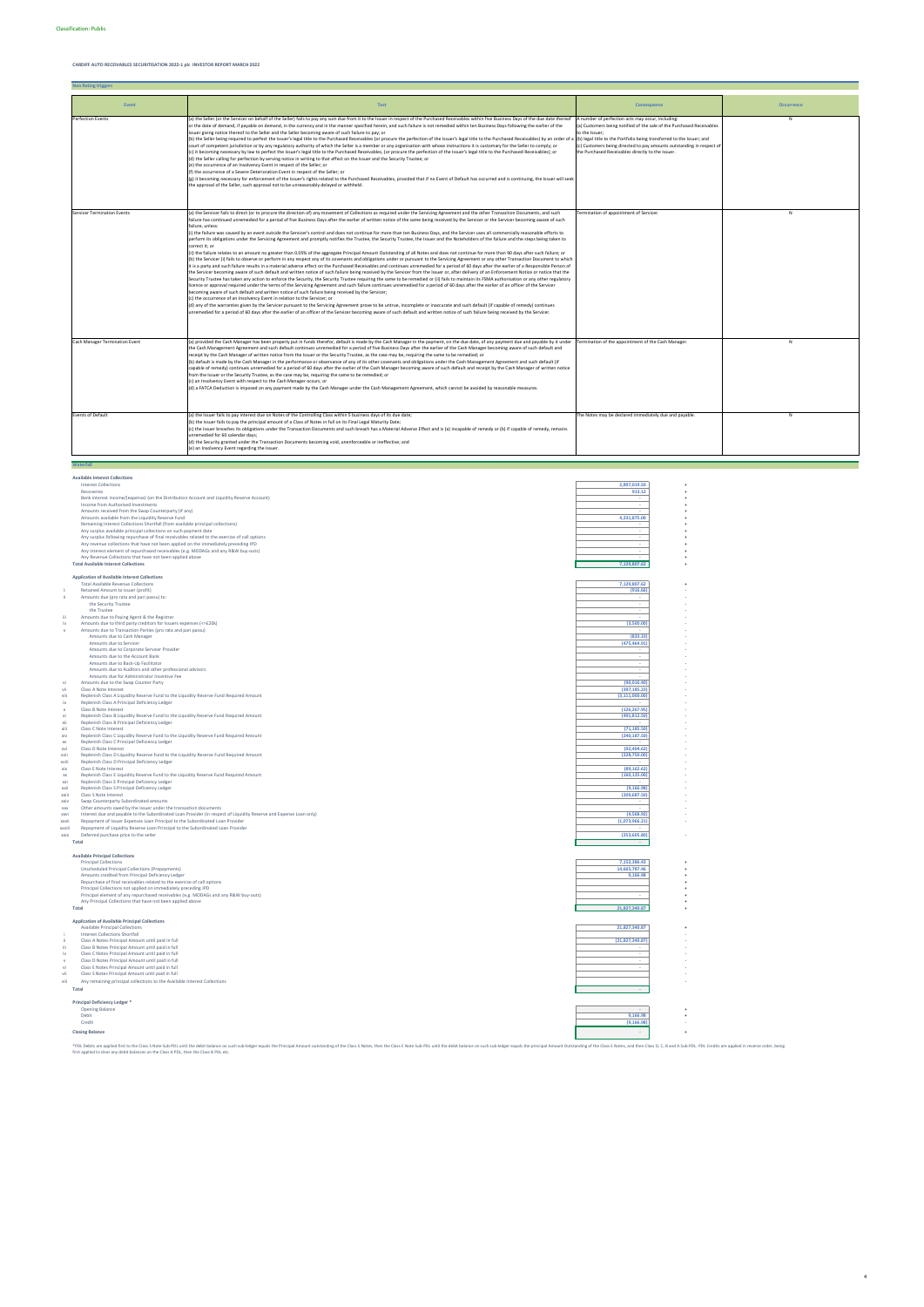|                           | <b>Available Interest Collections</b>                                                                              |                   |  |
|---------------------------|--------------------------------------------------------------------------------------------------------------------|-------------------|--|
|                           | <b>Interest Collections</b>                                                                                        | 2,897,019.50      |  |
|                           | Recoveries                                                                                                         | 913.12            |  |
|                           | Bank interest income/(expense) (on the Distribution Account and Liquidity Reserve Account)                         |                   |  |
|                           | Income from Authorised Investments                                                                                 |                   |  |
|                           | Amounts received from the Swap Counterparty (if any)                                                               |                   |  |
|                           | Amounts available from the Liquidity Reserve Fund                                                                  | 4,231,875.00      |  |
|                           | Remaining Interest Collections Shortfall (from available principal collections)                                    |                   |  |
|                           | Any surplus available principal collections on such payment date                                                   |                   |  |
|                           | Any surplus following repurchase of final receivables related to the exercise of call options                      | ×.                |  |
|                           | Any revenue collections that have not been applied on the immediately preceding IPD                                |                   |  |
|                           | Any interest element of repurchased receivables (e.g. MODAGs and any R&W buy-outs)                                 |                   |  |
|                           | Any Revenue Collections that have not been applied above                                                           |                   |  |
|                           | <b>Total Available Interest Collections</b>                                                                        | 7,129,807.62      |  |
|                           |                                                                                                                    |                   |  |
|                           | <b>Application of Available Interest Collections</b>                                                               |                   |  |
|                           | <b>Total Available Revenue Collections</b>                                                                         | 7,129,807.62      |  |
|                           | Retained Amount to issuer (profit)                                                                                 | (916.66)          |  |
| -ii                       | Amounts due (pro rata and pari passu) to:                                                                          |                   |  |
|                           | the Security Trustee                                                                                               |                   |  |
|                           | the Trustee                                                                                                        |                   |  |
| iii                       | Amounts due to Paying Agent & the Registrar                                                                        | (3,500.00)        |  |
| iv                        | Amounts due to third party creditors for Issuers expenses (<=£20k)                                                 |                   |  |
|                           | Amounts due to Transaction Parties (pro rata and pari passu)<br>Amounts due to Cash Manager                        | (833.33)          |  |
|                           |                                                                                                                    |                   |  |
|                           | Amounts due to Servicer                                                                                            | (475, 464.91)     |  |
|                           | Amounts due to Corporate Servicer Provider                                                                         |                   |  |
|                           | Amounts due to the Account Bank<br>Amounts due to Back-Up Facilitator                                              | ×                 |  |
|                           | Amounts due to Auditors and other professional advisors                                                            | $\sim$            |  |
|                           | Amounts due for Administrator Incentive Fee                                                                        |                   |  |
| vi                        | Amounts due to the Swap Counter Party                                                                              | (90, 016.40)      |  |
| vii                       | Class A Note Interest                                                                                              | (397, 185.23)     |  |
| viii                      | Replenish Class A Liquidity Reserve Fund to the Liquidity Reserve Fund Required Amount                             | (3, 111, 000.00)  |  |
| ix                        | Replenish Class A Principal Deficiency Ledger                                                                      |                   |  |
| $\boldsymbol{\mathsf{x}}$ | Class B Note Interest                                                                                              | (126, 267.95)     |  |
| xi                        | Replenish Class B Liquidity Reserve Fund to the Liquidity Reserve Fund Required Amount                             | (491, 812.50)     |  |
| xii                       | Replenish Class B Principal Deficiency Ledger                                                                      |                   |  |
| xiii                      | Class C Note Interest                                                                                              | (71, 185.50)      |  |
| xiv                       | Replenish Class C Liquidity Reserve Fund to the Liquidity Reserve Fund Required Amount                             | (240, 187.50)     |  |
| <b>XV</b>                 | Replenish Class C Principal Deficiency Ledger                                                                      |                   |  |
| xvi                       | Class D Note Interest                                                                                              | (92, 404.62)      |  |
| xvii                      | Replenish Class D Liquidity Reserve Fund to the Liquidity Reserve Fund Required Amount                             | (228,750.00)      |  |
| xviii                     | Replenish Class D Principal Deficiency Ledger                                                                      |                   |  |
| xix                       | Class E Note Interest                                                                                              | (89, 162.62)      |  |
| XX                        | Replenish Class E Liquidity Reserve Fund to the Liquidity Reserve Fund Required Amount                             | (160, 125.00)     |  |
| xxi                       | Replenish Class E Principal Deficiency Ledger                                                                      |                   |  |
| xxii                      | Replenish Class S Principal Deficiency Ledger                                                                      | (9, 166.98)       |  |
| xxiii                     | Class S Note Interest                                                                                              | (209, 687.50)     |  |
| xxiv                      | Swap Counterparty Subordinated amounts                                                                             |                   |  |
| XXV                       | Other amounts owed by the Issuer under the transaction documents                                                   |                   |  |
| xxvi                      | Interest due and payable to the Subordinated Loan Provider (in respect of Liquidity Reserve and Expense Loan only) | (4,568.92)        |  |
| xxvii                     | Repayment of Issuer Expenses Loan Principal to the Subordinated Loan Provider                                      | (1,073,966.21)    |  |
| xxviii                    | Repayment of Liquidity Reserve Loan Principal to the Subordinated Loan Provider                                    |                   |  |
| xxix                      | Deferred purchase price to the seller                                                                              | (253, 605.80)     |  |
|                           | Total                                                                                                              |                   |  |
|                           |                                                                                                                    |                   |  |
|                           | <b>Available Principal Collections</b>                                                                             |                   |  |
|                           | <b>Principal Collections</b>                                                                                       | 7,152,386.43      |  |
|                           | Unscheduled Principal Collections (Prepayments)                                                                    | 14,665,787.46     |  |
|                           | Amounts credited from Principal Deficiency Ledger                                                                  | 9,166.98          |  |
|                           | Repurchase of final receivables related to the exercise of call options                                            |                   |  |
|                           | Principal Collections not applied on immediately preceding IPD                                                     |                   |  |
|                           | Principal element of any repurchased receivables (e.g. MODAGs and any R&W buy-outs)                                |                   |  |
|                           | Any Principal Collections that have not been applied above                                                         |                   |  |
|                           | Total                                                                                                              | 21,827,340.87     |  |
|                           |                                                                                                                    |                   |  |
|                           | <b>Application of Available Principal Collections</b>                                                              |                   |  |
|                           | Available Principal Collections                                                                                    | 21,827,340.87     |  |
|                           | <b>Interest Collections Shortfall</b>                                                                              |                   |  |
| ii.                       | Class A Notes Principal Amount until paid in full                                                                  | (21, 827, 340.87) |  |
| iii.                      | Class B Notes Principal Amount until paid in full                                                                  |                   |  |
| iv                        | Class C Notes Principal Amount until paid in full                                                                  |                   |  |
| $\mathbf v$               | Class D Notes Principal Amount until paid in full                                                                  |                   |  |
| vi                        | Class E Notes Principal Amount until paid in full                                                                  |                   |  |
| vii                       | Class S Notes Principal Amount until paid in full                                                                  |                   |  |
| viii                      | Any remaining principal collections to the Available Interest Collections                                          |                   |  |
|                           | Total                                                                                                              |                   |  |

| Total                         |          |  |
|-------------------------------|----------|--|
| Principal Deficiency Ledger * |          |  |
| Opening Balance               |          |  |
| Debit                         | 9,166.98 |  |

| Credit                 | .9,166.98 |  |
|------------------------|-----------|--|
| <b>Closing Balance</b> |           |  |

such sub-ledger equals the Principal Amount outstanding of the Class S Notes, then the Class E Note Sub-PDL until the debit balance on such sub-ledger equals the principal Amount Outstanding of the Class E Notes, and then \*PDL Debits are applied first to the Class S Note Sub-PDL until the debit balance on su<br>first applied to clear any debit balances on the Class A PDL, then the Class B PDL etc.

| <b>Non Rating triggers</b>            |                                                                                                                                                                                                                                                                                                                                                                                                                                                                                                                                                                                                                                                                                                                                                                                                                                                                                                                                                                                                                                                                                                                                                                                                                                                                                                                                                                                                                                                                                                                                                                                                                                                                                                                                                                                                                                                                                                                                                                                                                                                                                                                                                                                                                                                                                                                                                                                                                                                                                                                                                                              |                                                                                                                                                                                                                                                                                                                                                     |                   |  |
|---------------------------------------|------------------------------------------------------------------------------------------------------------------------------------------------------------------------------------------------------------------------------------------------------------------------------------------------------------------------------------------------------------------------------------------------------------------------------------------------------------------------------------------------------------------------------------------------------------------------------------------------------------------------------------------------------------------------------------------------------------------------------------------------------------------------------------------------------------------------------------------------------------------------------------------------------------------------------------------------------------------------------------------------------------------------------------------------------------------------------------------------------------------------------------------------------------------------------------------------------------------------------------------------------------------------------------------------------------------------------------------------------------------------------------------------------------------------------------------------------------------------------------------------------------------------------------------------------------------------------------------------------------------------------------------------------------------------------------------------------------------------------------------------------------------------------------------------------------------------------------------------------------------------------------------------------------------------------------------------------------------------------------------------------------------------------------------------------------------------------------------------------------------------------------------------------------------------------------------------------------------------------------------------------------------------------------------------------------------------------------------------------------------------------------------------------------------------------------------------------------------------------------------------------------------------------------------------------------------------------|-----------------------------------------------------------------------------------------------------------------------------------------------------------------------------------------------------------------------------------------------------------------------------------------------------------------------------------------------------|-------------------|--|
| Event                                 | <b>Test</b>                                                                                                                                                                                                                                                                                                                                                                                                                                                                                                                                                                                                                                                                                                                                                                                                                                                                                                                                                                                                                                                                                                                                                                                                                                                                                                                                                                                                                                                                                                                                                                                                                                                                                                                                                                                                                                                                                                                                                                                                                                                                                                                                                                                                                                                                                                                                                                                                                                                                                                                                                                  | Consequence                                                                                                                                                                                                                                                                                                                                         | <b>Occurrence</b> |  |
| <b>Perfection Events</b>              | (a) the Seller (or the Servicer on behalf of the Seller) fails to pay any sum due from it to the Issuer in respect of the Purchased Receivables within five Business Days of the due date thereof<br>or the date of demand, if payable on demand, in the currency and in the manner specified herein, and such failure is not remedied within ten Business Days following the earlier of the<br>Issuer giving notice thereof to the Seller and the Seller becoming aware of such failure to pay; or<br>(b) the Seller being required to perfect the Issuer's legal title to the Purchased Receivables (or procure the perfection of the Issuer's legal title to the Purchased Receivables) by an order of<br>court of competent jurisdiction or by any regulatory authority of which the Seller is a member or any organisation with whose instructions it is customary for the Seller to comply; or<br>(c) it becoming necessary by law to perfect the Issuer's legal title to the Purchased Receivables, (or procure the perfection of the Issuer's legal title to the Purchased Receivables); or<br>(d) the Seller calling for perfection by serving notice in writing to that effect on the Issuer and the Security Trustee; or<br>(e) the occurrence of an Insolvency Event in respect of the Seller; or<br>(f) the occurrence of a Severe Deterioration Event in respect of the Seller; or<br>(g) it becoming necessary for enforcement of the Issuer's rights related to the Purchased Receivables, provided that if no Event of Default has occurred and is continuing, the Issuer will seek<br>the approval of the Seller, such approval not to be unreasonably delayed or withheld.                                                                                                                                                                                                                                                                                                                                                                                                                                                                                                                                                                                                                                                                                                                                                                                                                                                                                | A number of perfection acts may occur, including:<br>(a) Customers being notified of the sale of the Purchased Receivables<br>to the Issuer;<br>(b) legal title to the Portfolio being transferred to the Issuer; and<br>(c) Customers being directed to pay amounts outstanding in respect of<br>the Purchased Receivables directly to the Issuer. | N                 |  |
| <b>Servicer Termination Events</b>    | (a) the Servicer fails to direct (or to procure the direction of) any movement of Collections as required under the Servicing Agreement and the other Transaction Documents, and such<br>failure has continued unremedied for a period of five Business Days after the earlier of written notice of the same being received by the Servicer or the Servicer becoming aware of such<br>failure, unless:<br>(i) the failure was caused by an event outside the Servicer's control and does not continue for more than ten Business Days, and the Servicer uses all commercially reasonable efforts to<br>perform its obligations under the Servicing Agreement and promptly notifies the Trustee, the Security Trustee, the Issuer and the Noteholders of the failure and the steps being taken to<br>correct it; or<br>(ii) the failure relates to an amount no greater than 0.05% of the aggregate Principal Amount Outstanding of all Notes and does not continue for more than 90 days after such failure; or<br>(b) the Servicer (i) fails to observe or perform in any respect any of its covenants and obligations under or pursuant to the Servicing Agreement or any other Transaction Document to which<br>it is a party and such failure results in a material adverse effect on the Purchased Receivables and continues unremedied for a period of 60 days after the earlier of a Responsible Person of<br>the Servicer becoming aware of such default and written notice of such failure being received by the Servicer from the Issuer or, after delivery of an Enforcement Notice or notice that the<br>Security Trustee has taken any action to enforce the Security, the Security Trustee requiring the same to be remedied or (ii) fails to maintain its FSMA authorisation or any other regulatory<br>licence or approval required under the terms of the Servicing Agreement and such failure continues unremedied for a period of 60 days after the earlier of an officer of the Servicer<br>becoming aware of such default and written notice of such failure being received by the Servicer;<br>(c) the occurrence of an Insolvency Event in relation to the Servicer; or<br>(d) any of the warranties given by the Servicer pursuant to the Servicing Agreement prove to be untrue, incomplete or inaccurate and such default (if capable of remedy) continues<br>unremedied for a period of 60 days after the earlier of an officer of the Servicer becoming aware of such default and written notice of such failure being received by the Servicer. | Termination of appointment of Servicer.                                                                                                                                                                                                                                                                                                             | N                 |  |
| <b>Cash Manager Termination Event</b> | (a) provided the Cash Manager has been properly put in funds therefor, default is made by the Cash Manager in the payment, on the due date, of any payment due and payable by it under<br>the Cash Management Agreement and such default continues unremedied for a period of five Business Days after the earlier of the Cash Manager becoming aware of such default and<br>receipt by the Cash Manager of written notice from the Issuer or the Security Trustee, as the case may be, requiring the same to be remedied; or<br>(b) default is made by the Cash Manager in the performance or observance of any of its other covenants and obligations under the Cash Management Agreement and such default (if<br>capable of remedy) continues unremedied for a period of 60 days after the earlier of the Cash Manager becoming aware of such default and receipt by the Cash Manager of written notice<br>from the Issuer or the Security Trustee, as the case may be, requiring the same to be remedied; or<br>(c) an Insolvency Event with respect to the Cash Manager occurs; or<br>(d) a FATCA Deduction is imposed on any payment made by the Cash Manager under the Cash Management Agreement, which cannot be avoided by reasonable measures.                                                                                                                                                                                                                                                                                                                                                                                                                                                                                                                                                                                                                                                                                                                                                                                                                                                                                                                                                                                                                                                                                                                                                                                                                                                                                                                     | Termination of the appointment of the Cash Manager.                                                                                                                                                                                                                                                                                                 | N                 |  |
| <b>Events of Default</b>              | (a) the Issuer fails to pay interest due on Notes of the Controlling Class within 5 business days of its due date;<br>(b) the Issuer fails to pay the principal amount of a Class of Notes in full on its Final Legal Maturity Date;<br>(c) the Issuer breaches its obligations under the Transaction Documents and such breach has a Material Adverse Effect and is (a) incapable of remedy or (b) if capable of remedy, remains<br>unremedied for 60 calendar days;<br>(d) the Security granted under the Transaction Documents becoming void, unenforceable or ineffective; and<br>(e) an Insolvency Event regarding the Issuer.                                                                                                                                                                                                                                                                                                                                                                                                                                                                                                                                                                                                                                                                                                                                                                                                                                                                                                                                                                                                                                                                                                                                                                                                                                                                                                                                                                                                                                                                                                                                                                                                                                                                                                                                                                                                                                                                                                                                          | The Notes may be declared immediately due and payable.                                                                                                                                                                                                                                                                                              | N                 |  |
| Waterfall                             |                                                                                                                                                                                                                                                                                                                                                                                                                                                                                                                                                                                                                                                                                                                                                                                                                                                                                                                                                                                                                                                                                                                                                                                                                                                                                                                                                                                                                                                                                                                                                                                                                                                                                                                                                                                                                                                                                                                                                                                                                                                                                                                                                                                                                                                                                                                                                                                                                                                                                                                                                                              |                                                                                                                                                                                                                                                                                                                                                     |                   |  |

4